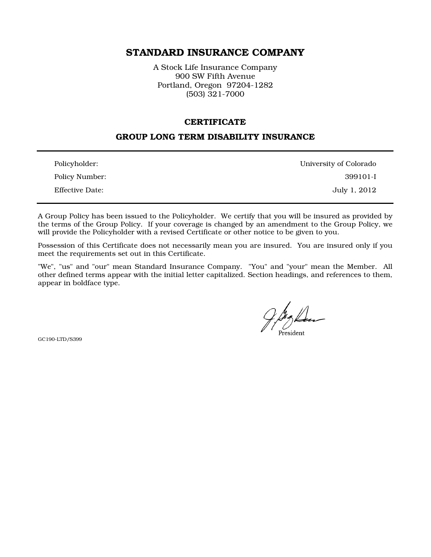# STANDARD INSURANCE COMPANY

A Stock Life Insurance Company 900 SW Fifth Avenue Portland, Oregon 97204-1282 (503) 321-7000

#### **CERTIFICATE**

### GROUP LONG TERM DISABILITY INSURANCE

| Policyholder:   | University of Colorado |
|-----------------|------------------------|
| Policy Number:  | 399101-I               |
| Effective Date: | July 1, 2012           |

A Group Policy has been issued to the Policyholder. We certify that you will be insured as provided by the terms of the Group Policy. If your coverage is changed by an amendment to the Group Policy, we will provide the Policyholder with a revised Certificate or other notice to be given to you.

Possession of this Certificate does not necessarily mean you are insured. You are insured only if you meet the requirements set out in this Certificate.

"We", "us" and "our" mean Standard Insurance Company. "You" and "your" mean the Member. All other defined terms appear with the initial letter capitalized. Section headings, and references to them, appear in boldface type.

GC190-LTD/S399

President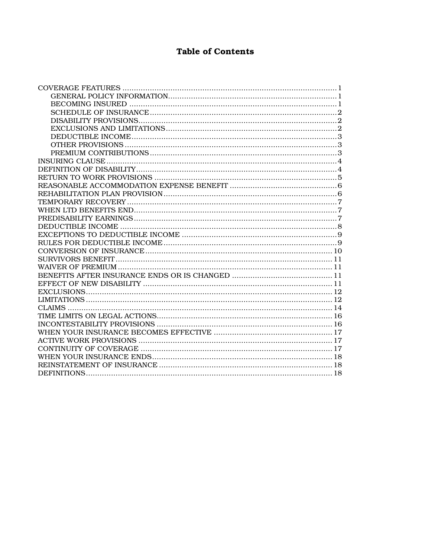# **Table of Contents**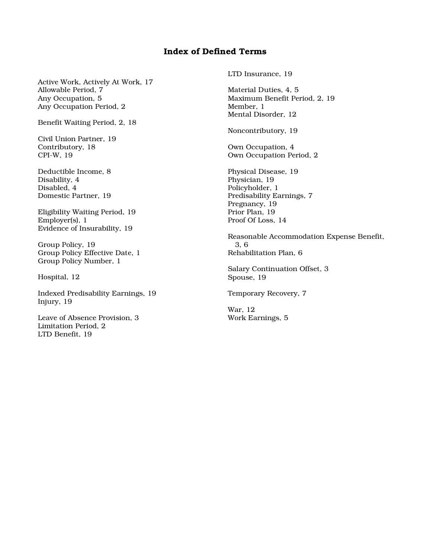# Index of Defined Terms

Active Work, Actively At Work, 17 Allowable Period, 7 Any Occupation, 5 Any Occupation Period, 2

Benefit Waiting Period, 2, 18

Civil Union Partner, 19 Contributory, 18 CPI-W, 19

Deductible Income, 8 Disability, 4 Disabled, 4 Domestic Partner, 19

Eligibility Waiting Period, 19 Employer(s), 1 Evidence of Insurability, 19

Group Policy, 19 Group Policy Effective Date, 1 Group Policy Number, 1

Hospital, 12

Indexed Predisability Earnings, 19 Injury, 19

Leave of Absence Provision, 3 Limitation Period, 2 LTD Benefit, 19

LTD Insurance, 19

Material Duties, 4, 5 Maximum Benefit Period, 2, 19 Member, 1 Mental Disorder, 12

Noncontributory, 19

Own Occupation, 4 Own Occupation Period, 2

Physical Disease, 19 Physician, 19 Policyholder, 1 Predisability Earnings, 7 Pregnancy, 19 Prior Plan, 19 Proof Of Loss, 14

Reasonable Accommodation Expense Benefit, 3, 6 Rehabilitation Plan, 6

Salary Continuation Offset, 3 Spouse, 19

Temporary Recovery, 7

War, 12 Work Earnings, 5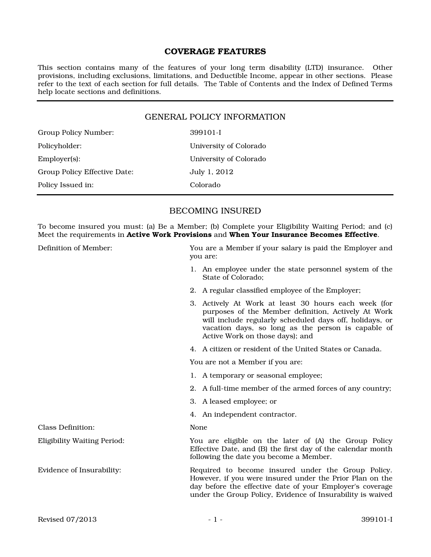### COVERAGE FEATURES

This section contains many of the features of your long term disability (LTD) insurance. Other provisions, including exclusions, limitations, and Deductible Income, appear in other sections. Please refer to the text of each section for full details. The Table of Contents and the Index of Defined Terms help locate sections and definitions.

### GENERAL POLICY INFORMATION

| Group Policy Number:         | 399101-I               |
|------------------------------|------------------------|
| Policyholder:                | University of Colorado |
| $Emplover(s)$ :              | University of Colorado |
| Group Policy Effective Date: | July 1, 2012           |
| Policy Issued in:            | Colorado               |

### BECOMING INSURED

To become insured you must: (a) Be a Member; (b) Complete your Eligibility Waiting Period; and (c) Meet the requirements in Active Work Provisions and When Your Insurance Becomes Effective.

| Definition of Member:              | You are a Member if your salary is paid the Employer and<br>you are:                                                                                                                                                                                            |  |
|------------------------------------|-----------------------------------------------------------------------------------------------------------------------------------------------------------------------------------------------------------------------------------------------------------------|--|
|                                    | 1. An employee under the state personnel system of the<br>State of Colorado:                                                                                                                                                                                    |  |
|                                    | 2. A regular classified employee of the Employer;                                                                                                                                                                                                               |  |
|                                    | 3. Actively At Work at least 30 hours each week (for<br>purposes of the Member definition, Actively At Work<br>will include regularly scheduled days off, holidays, or<br>vacation days, so long as the person is capable of<br>Active Work on those days); and |  |
|                                    | 4. A citizen or resident of the United States or Canada.                                                                                                                                                                                                        |  |
|                                    | You are not a Member if you are:                                                                                                                                                                                                                                |  |
|                                    | 1. A temporary or seasonal employee;                                                                                                                                                                                                                            |  |
|                                    | 2. A full-time member of the armed forces of any country;                                                                                                                                                                                                       |  |
|                                    | 3. A leased employee; or                                                                                                                                                                                                                                        |  |
|                                    | 4. An independent contractor.                                                                                                                                                                                                                                   |  |
| <b>Class Definition:</b>           | None                                                                                                                                                                                                                                                            |  |
| <b>Eligibility Waiting Period:</b> | You are eligible on the later of (A) the Group Policy<br>Effective Date, and (B) the first day of the calendar month<br>following the date you become a Member.                                                                                                 |  |
| Evidence of Insurability:          | Required to become insured under the Group Policy.<br>However, if you were insured under the Prior Plan on the<br>day before the effective date of your Employer's coverage<br>under the Group Policy, Evidence of Insurability is waived                       |  |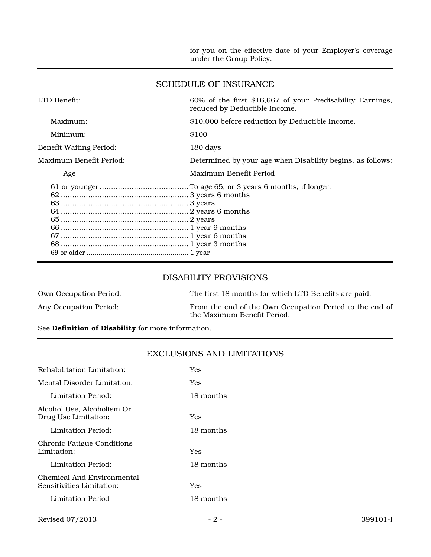for you on the effective date of your Employer's coverage under the Group Policy.

#### SCHEDULE OF INSURANCE

| LTD Benefit:                   | 60% of the first \$16,667 of your Predisability Earnings,<br>reduced by Deductible Income. |
|--------------------------------|--------------------------------------------------------------------------------------------|
| Maximum:                       | \$10,000 before reduction by Deductible Income.                                            |
| Minimum:                       | \$100                                                                                      |
| <b>Benefit Waiting Period:</b> | 180 days                                                                                   |
| Maximum Benefit Period:        | Determined by your age when Disability begins, as follows:                                 |
| Age                            | Maximum Benefit Period                                                                     |
|                                |                                                                                            |

#### DISABILITY PROVISIONS

| <b>Own Occupation Period:</b> | The first 18 months for which LTD Benefits are paid.                                   |
|-------------------------------|----------------------------------------------------------------------------------------|
| Any Occupation Period:        | From the end of the Own Occupation Period to the end of<br>the Maximum Benefit Period. |

## See **Definition of Disability** for more information.

## EXCLUSIONS AND LIMITATIONS

| Rehabilitation Limitation:                              | Yes       |
|---------------------------------------------------------|-----------|
| Mental Disorder Limitation:                             | Yes       |
| Limitation Period:                                      | 18 months |
| Alcohol Use, Alcoholism Or<br>Drug Use Limitation:      | Yes       |
| Limitation Period:                                      | 18 months |
| <b>Chronic Fatigue Conditions</b><br>Limitation:        | Yes       |
| Limitation Period:                                      | 18 months |
| Chemical And Environmental<br>Sensitivities Limitation: | Yes       |
| Limitation Period                                       | 18 months |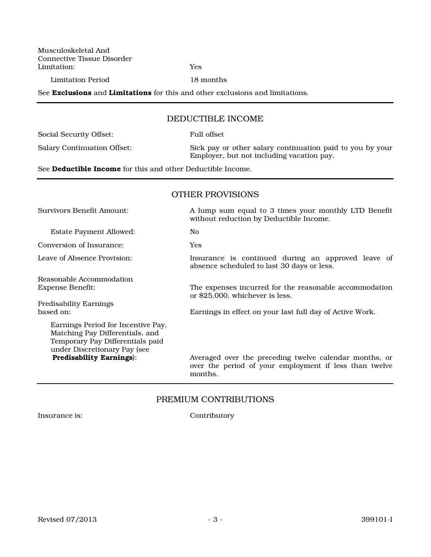Musculoskeletal And Connective Tissue Disorder Limitation: Yes

Limitation Period 18 months

See **Exclusions** and **Limitations** for this and other exclusions and limitations.

#### DEDUCTIBLE INCOME

| Social Security Offset:     | Full offset                                               |
|-----------------------------|-----------------------------------------------------------|
| Salary Continuation Offset: | Sick pay or other salary continuation paid to you by your |
|                             | Employer, but not including vacation pay.                 |

See Deductible Income for this and other Deductible Income.

#### OTHER PROVISIONS

Estate Payment Allowed: No

Conversion of Insurance: Yes

Reasonable Accommodation

Predisability Earnings

Earnings Period for Incentive Pay, Matching Pay Differentials, and Temporary Pay Differentials paid under Discretionary Pay (see<br>Predisability Earnings):

Survivors Benefit Amount: A lump sum equal to 3 times your monthly LTD Benefit without reduction by Deductible Income.

Leave of Absence Provision: Insurance is continued during an approved leave of absence scheduled to last 30 days or less.

> The expenses incurred for the reasonable accommodation or \$25,000, whichever is less.

based on: Earnings in effect on your last full day of Active Work.

Averaged over the preceding twelve calendar months, or over the period of your employment if less than twelve months.

#### PREMIUM CONTRIBUTIONS

Insurance is: Contributory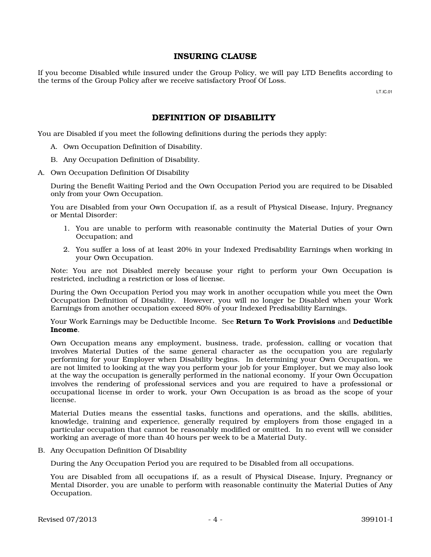### INSURING CLAUSE

If you become Disabled while insured under the Group Policy, we will pay LTD Benefits according to the terms of the Group Policy after we receive satisfactory Proof Of Loss.

LT.IC.01

### DEFINITION OF DISABILITY

You are Disabled if you meet the following definitions during the periods they apply:

- A. Own Occupation Definition of Disability.
- B. Any Occupation Definition of Disability.
- A. Own Occupation Definition Of Disability

During the Benefit Waiting Period and the Own Occupation Period you are required to be Disabled only from your Own Occupation.

You are Disabled from your Own Occupation if, as a result of Physical Disease, Injury, Pregnancy or Mental Disorder:

- 1. You are unable to perform with reasonable continuity the Material Duties of your Own Occupation; and
- 2. You suffer a loss of at least 20% in your Indexed Predisability Earnings when working in your Own Occupation.

Note: You are not Disabled merely because your right to perform your Own Occupation is restricted, including a restriction or loss of license.

During the Own Occupation Period you may work in another occupation while you meet the Own Occupation Definition of Disability. However, you will no longer be Disabled when your Work Earnings from another occupation exceed 80% of your Indexed Predisability Earnings.

Your Work Earnings may be Deductible Income. See Return To Work Provisions and Deductible Income.

Own Occupation means any employment, business, trade, profession, calling or vocation that involves Material Duties of the same general character as the occupation you are regularly performing for your Employer when Disability begins. In determining your Own Occupation, we are not limited to looking at the way you perform your job for your Employer, but we may also look at the way the occupation is generally performed in the national economy. If your Own Occupation involves the rendering of professional services and you are required to have a professional or occupational license in order to work, your Own Occupation is as broad as the scope of your license.

Material Duties means the essential tasks, functions and operations, and the skills, abilities, knowledge, training and experience, generally required by employers from those engaged in a particular occupation that cannot be reasonably modified or omitted. In no event will we consider working an average of more than 40 hours per week to be a Material Duty.

B. Any Occupation Definition Of Disability

During the Any Occupation Period you are required to be Disabled from all occupations.

You are Disabled from all occupations if, as a result of Physical Disease, Injury, Pregnancy or Mental Disorder, you are unable to perform with reasonable continuity the Material Duties of Any Occupation.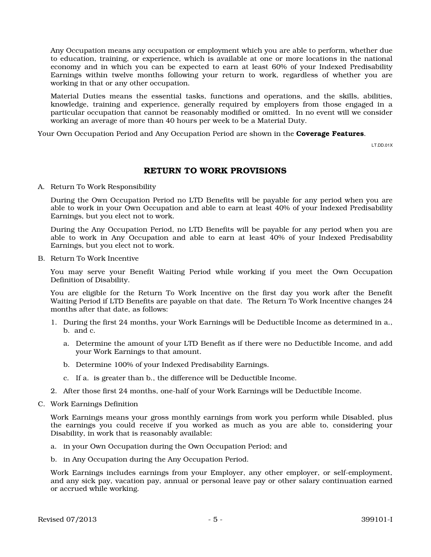Any Occupation means any occupation or employment which you are able to perform, whether due to education, training, or experience, which is available at one or more locations in the national economy and in which you can be expected to earn at least 60% of your Indexed Predisability Earnings within twelve months following your return to work, regardless of whether you are working in that or any other occupation.

Material Duties means the essential tasks, functions and operations, and the skills, abilities, knowledge, training and experience, generally required by employers from those engaged in a particular occupation that cannot be reasonably modified or omitted. In no event will we consider working an average of more than 40 hours per week to be a Material Duty.

Your Own Occupation Period and Any Occupation Period are shown in the **Coverage Features**.

LT.DD.01X

#### RETURN TO WORK PROVISIONS

A. Return To Work Responsibility

During the Own Occupation Period no LTD Benefits will be payable for any period when you are able to work in your Own Occupation and able to earn at least 40% of your Indexed Predisability Earnings, but you elect not to work.

During the Any Occupation Period, no LTD Benefits will be payable for any period when you are able to work in Any Occupation and able to earn at least 40% of your Indexed Predisability Earnings, but you elect not to work.

B. Return To Work Incentive

You may serve your Benefit Waiting Period while working if you meet the Own Occupation Definition of Disability.

You are eligible for the Return To Work Incentive on the first day you work after the Benefit Waiting Period if LTD Benefits are payable on that date. The Return To Work Incentive changes 24 months after that date, as follows:

- 1. During the first 24 months, your Work Earnings will be Deductible Income as determined in a., b. and c.
	- a. Determine the amount of your LTD Benefit as if there were no Deductible Income, and add your Work Earnings to that amount.
	- b. Determine 100% of your Indexed Predisability Earnings.
	- c. If a. is greater than b., the difference will be Deductible Income.
- 2. After those first 24 months, one-half of your Work Earnings will be Deductible Income.
- C. Work Earnings Definition

Work Earnings means your gross monthly earnings from work you perform while Disabled, plus the earnings you could receive if you worked as much as you are able to, considering your Disability, in work that is reasonably available:

- a. in your Own Occupation during the Own Occupation Period; and
- b. in Any Occupation during the Any Occupation Period.

Work Earnings includes earnings from your Employer, any other employer, or self-employment, and any sick pay, vacation pay, annual or personal leave pay or other salary continuation earned or accrued while working.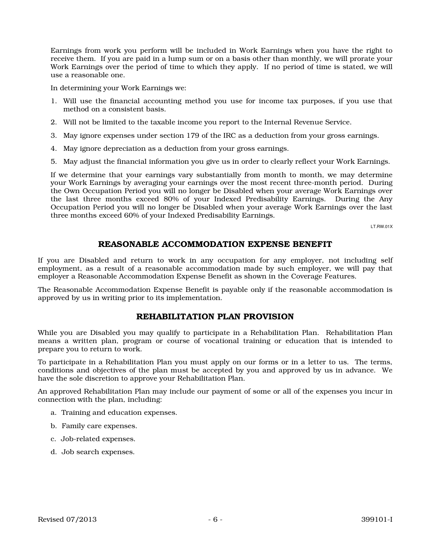Earnings from work you perform will be included in Work Earnings when you have the right to receive them. If you are paid in a lump sum or on a basis other than monthly, we will prorate your Work Earnings over the period of time to which they apply. If no period of time is stated, we will use a reasonable one.

In determining your Work Earnings we:

- 1. Will use the financial accounting method you use for income tax purposes, if you use that method on a consistent basis.
- 2. Will not be limited to the taxable income you report to the Internal Revenue Service.
- 3. May ignore expenses under section 179 of the IRC as a deduction from your gross earnings.
- 4. May ignore depreciation as a deduction from your gross earnings.
- 5. May adjust the financial information you give us in order to clearly reflect your Work Earnings.

If we determine that your earnings vary substantially from month to month, we may determine your Work Earnings by averaging your earnings over the most recent three-month period. During the Own Occupation Period you will no longer be Disabled when your average Work Earnings over the last three months exceed 80% of your Indexed Predisability Earnings. During the Any Occupation Period you will no longer be Disabled when your average Work Earnings over the last three months exceed 60% of your Indexed Predisability Earnings.

LT.RW.01X

### REASONABLE ACCOMMODATION EXPENSE BENEFIT

If you are Disabled and return to work in any occupation for any employer, not including self employment, as a result of a reasonable accommodation made by such employer, we will pay that employer a Reasonable Accommodation Expense Benefit as shown in the Coverage Features.

The Reasonable Accommodation Expense Benefit is payable only if the reasonable accommodation is approved by us in writing prior to its implementation.

### REHABILITATION PLAN PROVISION

While you are Disabled you may qualify to participate in a Rehabilitation Plan. Rehabilitation Plan means a written plan, program or course of vocational training or education that is intended to prepare you to return to work.

To participate in a Rehabilitation Plan you must apply on our forms or in a letter to us. The terms, conditions and objectives of the plan must be accepted by you and approved by us in advance. We have the sole discretion to approve your Rehabilitation Plan.

An approved Rehabilitation Plan may include our payment of some or all of the expenses you incur in connection with the plan, including:

- a. Training and education expenses.
- b. Family care expenses.
- c. Job-related expenses.
- d. Job search expenses.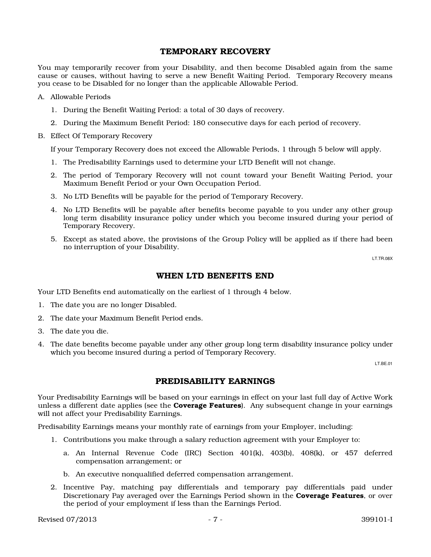#### TEMPORARY RECOVERY

You may temporarily recover from your Disability, and then become Disabled again from the same cause or causes, without having to serve a new Benefit Waiting Period. Temporary Recovery means you cease to be Disabled for no longer than the applicable Allowable Period.

A. Allowable Periods

- 1. During the Benefit Waiting Period: a total of 30 days of recovery.
- 2. During the Maximum Benefit Period: 180 consecutive days for each period of recovery.
- B. Effect Of Temporary Recovery

If your Temporary Recovery does not exceed the Allowable Periods, 1 through 5 below will apply.

- 1. The Predisability Earnings used to determine your LTD Benefit will not change.
- 2. The period of Temporary Recovery will not count toward your Benefit Waiting Period, your Maximum Benefit Period or your Own Occupation Period.
- 3. No LTD Benefits will be payable for the period of Temporary Recovery.
- 4. No LTD Benefits will be payable after benefits become payable to you under any other group long term disability insurance policy under which you become insured during your period of Temporary Recovery.
- 5. Except as stated above, the provisions of the Group Policy will be applied as if there had been no interruption of your Disability.

LT.TR.08X

#### WHEN LTD BENEFITS END

Your LTD Benefits end automatically on the earliest of 1 through 4 below.

- 1. The date you are no longer Disabled.
- 2. The date your Maximum Benefit Period ends.
- 3. The date you die.
- 4. The date benefits become payable under any other group long term disability insurance policy under which you become insured during a period of Temporary Recovery.

LT.BE.01

### PREDISABILITY EARNINGS

Your Predisability Earnings will be based on your earnings in effect on your last full day of Active Work unless a different date applies (see the **Coverage Features**). Any subsequent change in your earnings will not affect your Predisability Earnings.

Predisability Earnings means your monthly rate of earnings from your Employer, including:

- 1. Contributions you make through a salary reduction agreement with your Employer to:
	- a. An Internal Revenue Code (IRC) Section 401(k), 403(b), 408(k), or 457 deferred compensation arrangement; or
	- b. An executive nonqualified deferred compensation arrangement.
- 2. Incentive Pay, matching pay differentials and temporary pay differentials paid under Discretionary Pay averaged over the Earnings Period shown in the **Coverage Features**, or over the period of your employment if less than the Earnings Period.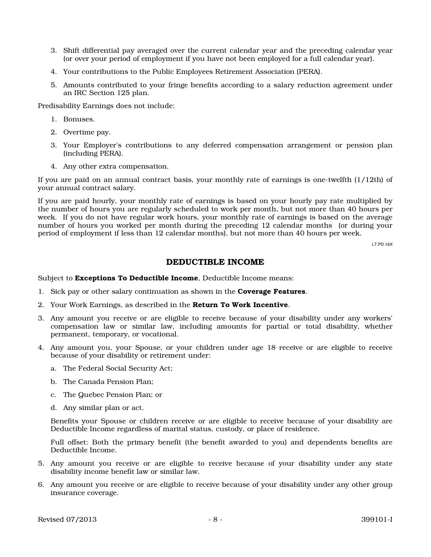- 3. Shift differential pay averaged over the current calendar year and the preceding calendar year (or over your period of employment if you have not been employed for a full calendar year).
- 4. Your contributions to the Public Employees Retirement Association (PERA).
- 5. Amounts contributed to your fringe benefits according to a salary reduction agreement under an IRC Section 125 plan.

Predisability Earnings does not include:

- 1. Bonuses.
- 2. Overtime pay.
- 3. Your Employer's contributions to any deferred compensation arrangement or pension plan (including PERA).
- 4. Any other extra compensation.

If you are paid on an annual contract basis, your monthly rate of earnings is one-twelfth (1/12th) of your annual contract salary.

If you are paid hourly, your monthly rate of earnings is based on your hourly pay rate multiplied by the number of hours you are regularly scheduled to work per month, but not more than 40 hours per week. If you do not have regular work hours, your monthly rate of earnings is based on the average number of hours you worked per month during the preceding 12 calendar months (or during your period of employment if less than 12 calendar months), but not more than 40 hours per week.

LT.PD.16X

#### DEDUCTIBLE INCOME

Subject to **Exceptions To Deductible Income**, Deductible Income means:

- 1. Sick pay or other salary continuation as shown in the **Coverage Features**.
- 2. Your Work Earnings, as described in the Return To Work Incentive.
- 3. Any amount you receive or are eligible to receive because of your disability under any workers' compensation law or similar law, including amounts for partial or total disability, whether permanent, temporary, or vocational.
- 4. Any amount you, your Spouse, or your children under age 18 receive or are eligible to receive because of your disability or retirement under:
	- a. The Federal Social Security Act;
	- b. The Canada Pension Plan;
	- c. The Quebec Pension Plan; or
	- d. Any similar plan or act.

Benefits your Spouse or children receive or are eligible to receive because of your disability are Deductible Income regardless of marital status, custody, or place of residence.

Full offset: Both the primary benefit (the benefit awarded to you) and dependents benefits are Deductible Income.

- 5. Any amount you receive or are eligible to receive because of your disability under any state disability income benefit law or similar law.
- 6. Any amount you receive or are eligible to receive because of your disability under any other group insurance coverage.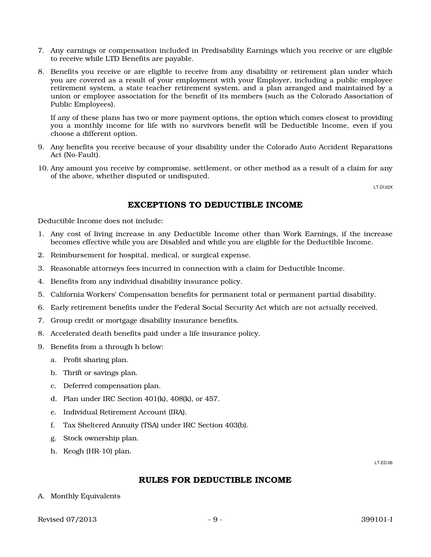- 7. Any earnings or compensation included in Predisability Earnings which you receive or are eligible to receive while LTD Benefits are payable.
- 8. Benefits you receive or are eligible to receive from any disability or retirement plan under which you are covered as a result of your employment with your Employer, including a public employee retirement system, a state teacher retirement system, and a plan arranged and maintained by a union or employee association for the benefit of its members (such as the Colorado Association of Public Employees).

If any of these plans has two or more payment options, the option which comes closest to providing you a monthly income for life with no survivors benefit will be Deductible Income, even if you choose a different option.

- 9. Any benefits you receive because of your disability under the Colorado Auto Accident Reparations Act (No-Fault).
- 10. Any amount you receive by compromise, settlement, or other method as a result of a claim for any of the above, whether disputed or undisputed.

LT.DI.02X

### EXCEPTIONS TO DEDUCTIBLE INCOME

Deductible Income does not include:

- 1. Any cost of living increase in any Deductible Income other than Work Earnings, if the increase becomes effective while you are Disabled and while you are eligible for the Deductible Income.
- 2. Reimbursement for hospital, medical, or surgical expense.
- 3. Reasonable attorneys fees incurred in connection with a claim for Deductible Income.
- 4. Benefits from any individual disability insurance policy.
- 5. California Workers' Compensation benefits for permanent total or permanent partial disability.
- 6. Early retirement benefits under the Federal Social Security Act which are not actually received.
- 7. Group credit or mortgage disability insurance benefits.
- 8. Accelerated death benefits paid under a life insurance policy.
- 9. Benefits from a through h below:
	- a. Profit sharing plan.
	- b. Thrift or savings plan.
	- c. Deferred compensation plan.
	- d. Plan under IRC Section 401(k), 408(k), or 457.
	- e. Individual Retirement Account (IRA).
	- f. Tax Sheltered Annuity (TSA) under IRC Section 403(b).
	- g. Stock ownership plan.
	- h. Keogh (HR-10) plan.

LT.ED.06

#### RULES FOR DEDUCTIBLE INCOME

A. Monthly Equivalents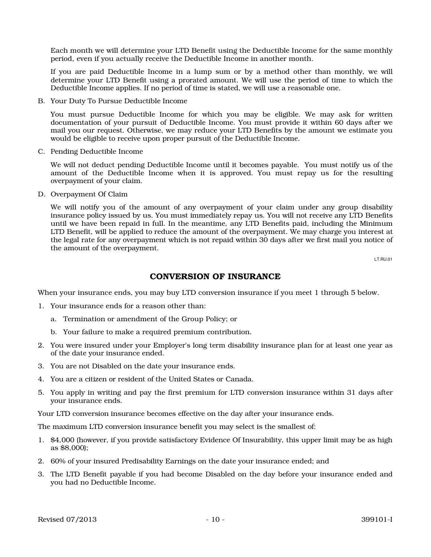Each month we will determine your LTD Benefit using the Deductible Income for the same monthly period, even if you actually receive the Deductible Income in another month.

If you are paid Deductible Income in a lump sum or by a method other than monthly, we will determine your LTD Benefit using a prorated amount. We will use the period of time to which the Deductible Income applies. If no period of time is stated, we will use a reasonable one.

B. Your Duty To Pursue Deductible Income

You must pursue Deductible Income for which you may be eligible. We may ask for written documentation of your pursuit of Deductible Income. You must provide it within 60 days after we mail you our request. Otherwise, we may reduce your LTD Benefits by the amount we estimate you would be eligible to receive upon proper pursuit of the Deductible Income.

C. Pending Deductible Income

We will not deduct pending Deductible Income until it becomes payable. You must notify us of the amount of the Deductible Income when it is approved. You must repay us for the resulting overpayment of your claim.

D. Overpayment Of Claim

We will notify you of the amount of any overpayment of your claim under any group disability insurance policy issued by us. You must immediately repay us. You will not receive any LTD Benefits until we have been repaid in full. In the meantime, any LTD Benefits paid, including the Minimum LTD Benefit, will be applied to reduce the amount of the overpayment. We may charge you interest at the legal rate for any overpayment which is not repaid within 30 days after we first mail you notice of the amount of the overpayment.

LT.RU.01

### CONVERSION OF INSURANCE

When your insurance ends, you may buy LTD conversion insurance if you meet 1 through 5 below.

- 1. Your insurance ends for a reason other than:
	- a. Termination or amendment of the Group Policy; or
	- b. Your failure to make a required premium contribution.
- 2. You were insured under your Employer's long term disability insurance plan for at least one year as of the date your insurance ended.
- 3. You are not Disabled on the date your insurance ends.
- 4. You are a citizen or resident of the United States or Canada.
- 5. You apply in writing and pay the first premium for LTD conversion insurance within 31 days after your insurance ends.

Your LTD conversion insurance becomes effective on the day after your insurance ends.

The maximum LTD conversion insurance benefit you may select is the smallest of:

- 1. \$4,000 (however, if you provide satisfactory Evidence Of Insurability, this upper limit may be as high as \$8,000);
- 2. 60% of your insured Predisability Earnings on the date your insurance ended; and
- 3. The LTD Benefit payable if you had become Disabled on the day before your insurance ended and you had no Deductible Income.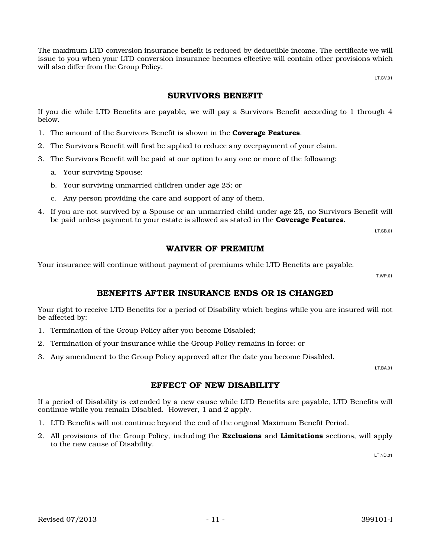The maximum LTD conversion insurance benefit is reduced by deductible income. The certificate we will issue to you when your LTD conversion insurance becomes effective will contain other provisions which will also differ from the Group Policy.

LT.CV.01

### SURVIVORS BENEFIT

If you die while LTD Benefits are payable, we will pay a Survivors Benefit according to 1 through 4 below.

- 1. The amount of the Survivors Benefit is shown in the **Coverage Features**.
- 2. The Survivors Benefit will first be applied to reduce any overpayment of your claim.
- 3. The Survivors Benefit will be paid at our option to any one or more of the following:
	- a. Your surviving Spouse;
	- b. Your surviving unmarried children under age 25; or
	- c. Any person providing the care and support of any of them.
- 4. If you are not survived by a Spouse or an unmarried child under age 25, no Survivors Benefit will be paid unless payment to your estate is allowed as stated in the **Coverage Features.**

LT.SB.01

### WAIVER OF PREMIUM

Your insurance will continue without payment of premiums while LTD Benefits are payable.

T.WP.01

## BENEFITS AFTER INSURANCE ENDS OR IS CHANGED

Your right to receive LTD Benefits for a period of Disability which begins while you are insured will not be affected by:

- 1. Termination of the Group Policy after you become Disabled;
- 2. Termination of your insurance while the Group Policy remains in force; or
- 3. Any amendment to the Group Policy approved after the date you become Disabled.

LT.BA.01

### EFFECT OF NEW DISABILITY

If a period of Disability is extended by a new cause while LTD Benefits are payable, LTD Benefits will continue while you remain Disabled. However, 1 and 2 apply.

- 1. LTD Benefits will not continue beyond the end of the original Maximum Benefit Period.
- 2. All provisions of the Group Policy, including the **Exclusions** and **Limitations** sections, will apply to the new cause of Disability.

LT.ND.01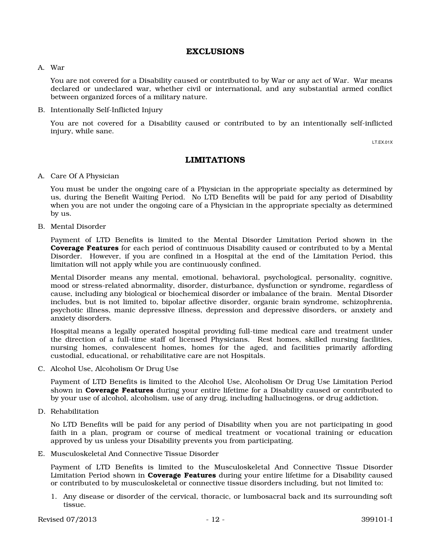#### EXCLUSIONS

#### A. War

You are not covered for a Disability caused or contributed to by War or any act of War. War means declared or undeclared war, whether civil or international, and any substantial armed conflict between organized forces of a military nature.

B. Intentionally Self-Inflicted Injury

You are not covered for a Disability caused or contributed to by an intentionally self-inflicted injury, while sane.

LT.EX.01X

### LIMITATIONS

#### A. Care Of A Physician

You must be under the ongoing care of a Physician in the appropriate specialty as determined by us, during the Benefit Waiting Period. No LTD Benefits will be paid for any period of Disability when you are not under the ongoing care of a Physician in the appropriate specialty as determined by us.

B. Mental Disorder

Payment of LTD Benefits is limited to the Mental Disorder Limitation Period shown in the Coverage Features for each period of continuous Disability caused or contributed to by a Mental Disorder. However, if you are confined in a Hospital at the end of the Limitation Period, this limitation will not apply while you are continuously confined.

Mental Disorder means any mental, emotional, behavioral, psychological, personality, cognitive, mood or stress-related abnormality, disorder, disturbance, dysfunction or syndrome, regardless of cause, including any biological or biochemical disorder or imbalance of the brain. Mental Disorder includes, but is not limited to, bipolar affective disorder, organic brain syndrome, schizophrenia, psychotic illness, manic depressive illness, depression and depressive disorders, or anxiety and anxiety disorders.

Hospital means a legally operated hospital providing full-time medical care and treatment under the direction of a full-time staff of licensed Physicians. Rest homes, skilled nursing facilities, nursing homes, convalescent homes, homes for the aged, and facilities primarily affording custodial, educational, or rehabilitative care are not Hospitals.

C. Alcohol Use, Alcoholism Or Drug Use

Payment of LTD Benefits is limited to the Alcohol Use, Alcoholism Or Drug Use Limitation Period shown in Coverage Features during your entire lifetime for a Disability caused or contributed to by your use of alcohol, alcoholism, use of any drug, including hallucinogens, or drug addiction.

D. Rehabilitation

No LTD Benefits will be paid for any period of Disability when you are not participating in good faith in a plan, program or course of medical treatment or vocational training or education approved by us unless your Disability prevents you from participating.

E. Musculoskeletal And Connective Tissue Disorder

Payment of LTD Benefits is limited to the Musculoskeletal And Connective Tissue Disorder Limitation Period shown in **Coverage Features** during your entire lifetime for a Disability caused or contributed to by musculoskeletal or connective tissue disorders including, but not limited to:

1. Any disease or disorder of the cervical, thoracic, or lumbosacral back and its surrounding soft tissue.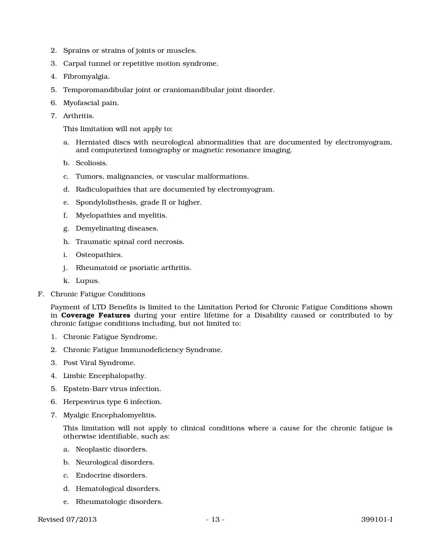- 2. Sprains or strains of joints or muscles.
- 3. Carpal tunnel or repetitive motion syndrome.
- 4. Fibromyalgia.
- 5. Temporomandibular joint or craniomandibular joint disorder.
- 6. Myofascial pain.
- 7. Arthritis.

This limitation will not apply to:

- a. Herniated discs with neurological abnormalities that are documented by electromyogram, and computerized tomography or magnetic resonance imaging.
- b. Scoliosis.
- c. Tumors, malignancies, or vascular malformations.
- d. Radiculopathies that are documented by electromyogram.
- e. Spondylolisthesis, grade II or higher.
- f. Myelopathies and myelitis.
- g. Demyelinating diseases.
- h. Traumatic spinal cord necrosis.
- i. Osteopathies.
- j. Rheumatoid or psoriatic arthritis.
- k. Lupus.
- F. Chronic Fatigue Conditions

Payment of LTD Benefits is limited to the Limitation Period for Chronic Fatigue Conditions shown in Coverage Features during your entire lifetime for a Disability caused or contributed to by chronic fatigue conditions including, but not limited to:

- 1. Chronic Fatigue Syndrome.
- 2. Chronic Fatigue Immunodeficiency Syndrome.
- 3. Post Viral Syndrome.
- 4. Limbic Encephalopathy.
- 5. Epstein-Barr virus infection.
- 6. Herpesvirus type 6 infection.
- 7. Myalgic Encephalomyelitis.

This limitation will not apply to clinical conditions where a cause for the chronic fatigue is otherwise identifiable, such as:

- a. Neoplastic disorders.
- b. Neurological disorders.
- c. Endocrine disorders.
- d. Hematological disorders.
- e. Rheumatologic disorders.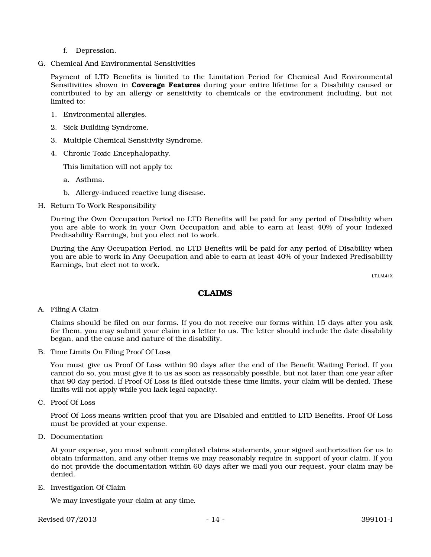- f. Depression.
- G. Chemical And Environmental Sensitivities

Payment of LTD Benefits is limited to the Limitation Period for Chemical And Environmental Sensitivities shown in **Coverage Features** during your entire lifetime for a Disability caused or contributed to by an allergy or sensitivity to chemicals or the environment including, but not limited to:

- 1. Environmental allergies.
- 2. Sick Building Syndrome.
- 3. Multiple Chemical Sensitivity Syndrome.
- 4. Chronic Toxic Encephalopathy.

This limitation will not apply to:

- a. Asthma.
- b. Allergy-induced reactive lung disease.
- H. Return To Work Responsibility

During the Own Occupation Period no LTD Benefits will be paid for any period of Disability when you are able to work in your Own Occupation and able to earn at least 40% of your Indexed Predisability Earnings, but you elect not to work.

During the Any Occupation Period, no LTD Benefits will be paid for any period of Disability when you are able to work in Any Occupation and able to earn at least 40% of your Indexed Predisability Earnings, but elect not to work.

LT.LM.41X

#### CLAIMS

A. Filing A Claim

Claims should be filed on our forms. If you do not receive our forms within 15 days after you ask for them, you may submit your claim in a letter to us. The letter should include the date disability began, and the cause and nature of the disability.

B. Time Limits On Filing Proof Of Loss

You must give us Proof Of Loss within 90 days after the end of the Benefit Waiting Period. If you cannot do so, you must give it to us as soon as reasonably possible, but not later than one year after that 90 day period. If Proof Of Loss is filed outside these time limits, your claim will be denied. These limits will not apply while you lack legal capacity.

C. Proof Of Loss

Proof Of Loss means written proof that you are Disabled and entitled to LTD Benefits. Proof Of Loss must be provided at your expense.

D. Documentation

At your expense, you must submit completed claims statements, your signed authorization for us to obtain information, and any other items we may reasonably require in support of your claim. If you do not provide the documentation within 60 days after we mail you our request, your claim may be denied.

E. Investigation Of Claim

We may investigate your claim at any time.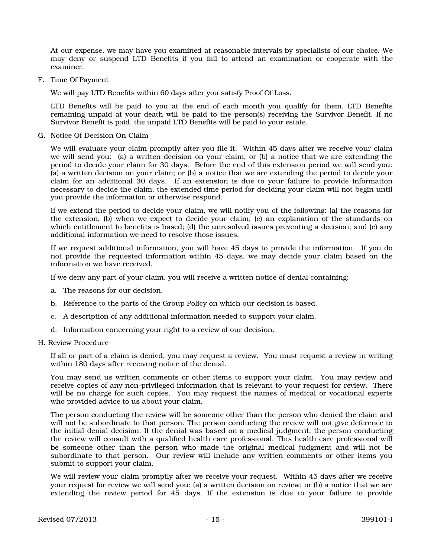At our expense, we may have you examined at reasonable intervals by specialists of our choice. We may deny or suspend LTD Benefits if you fail to attend an examination or cooperate with the examiner.

F. Time Of Payment

We will pay LTD Benefits within 60 days after you satisfy Proof Of Loss.

LTD Benefits will be paid to you at the end of each month you qualify for them. LTD Benefits remaining unpaid at your death will be paid to the person(s) receiving the Survivor Benefit. If no Survivor Benefit is paid, the unpaid LTD Benefits will be paid to your estate.

G. Notice Of Decision On Claim

We will evaluate your claim promptly after you file it. Within 45 days after we receive your claim we will send you: (a) a written decision on your claim; or (b) a notice that we are extending the period to decide your claim for 30 days. Before the end of this extension period we will send you: (a) a written decision on your claim; or (b) a notice that we are extending the period to decide your claim for an additional 30 days. If an extension is due to your failure to provide information necessary to decide the claim, the extended time period for deciding your claim will not begin until you provide the information or otherwise respond.

If we extend the period to decide your claim, we will notify you of the following: (a) the reasons for the extension; (b) when we expect to decide your claim; (c) an explanation of the standards on which entitlement to benefits is based; (d) the unresolved issues preventing a decision; and (e) any additional information we need to resolve those issues.

If we request additional information, you will have 45 days to provide the information. If you do not provide the requested information within 45 days, we may decide your claim based on the information we have received.

If we deny any part of your claim, you will receive a written notice of denial containing:

- a. The reasons for our decision.
- b. Reference to the parts of the Group Policy on which our decision is based.
- c. A description of any additional information needed to support your claim.
- d. Information concerning your right to a review of our decision.
- H. Review Procedure

If all or part of a claim is denied, you may request a review. You must request a review in writing within 180 days after receiving notice of the denial.

You may send us written comments or other items to support your claim. You may review and receive copies of any non-privileged information that is relevant to your request for review. There will be no charge for such copies. You may request the names of medical or vocational experts who provided advice to us about your claim.

The person conducting the review will be someone other than the person who denied the claim and will not be subordinate to that person. The person conducting the review will not give deference to the initial denial decision. If the denial was based on a medical judgment, the person conducting the review will consult with a qualified health care professional. This health care professional will be someone other than the person who made the original medical judgment and will not be subordinate to that person. Our review will include any written comments or other items you submit to support your claim.

We will review your claim promptly after we receive your request. Within 45 days after we receive your request for review we will send you: (a) a written decision on review; or (b) a notice that we are extending the review period for 45 days. If the extension is due to your failure to provide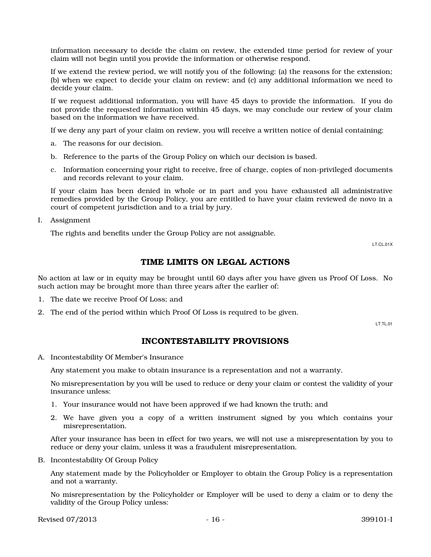information necessary to decide the claim on review, the extended time period for review of your claim will not begin until you provide the information or otherwise respond.

If we extend the review period, we will notify you of the following: (a) the reasons for the extension; (b) when we expect to decide your claim on review; and (c) any additional information we need to decide your claim.

If we request additional information, you will have 45 days to provide the information. If you do not provide the requested information within 45 days, we may conclude our review of your claim based on the information we have received.

If we deny any part of your claim on review, you will receive a written notice of denial containing:

- a. The reasons for our decision.
- b. Reference to the parts of the Group Policy on which our decision is based.
- c. Information concerning your right to receive, free of charge, copies of non-privileged documents and records relevant to your claim.

If your claim has been denied in whole or in part and you have exhausted all administrative remedies provided by the Group Policy, you are entitled to have your claim reviewed de novo in a court of competent jurisdiction and to a trial by jury.

I. Assignment

The rights and benefits under the Group Policy are not assignable.

LT.CL.01X

#### TIME LIMITS ON LEGAL ACTIONS

No action at law or in equity may be brought until 60 days after you have given us Proof Of Loss. No such action may be brought more than three years after the earlier of:

- 1. The date we receive Proof Of Loss; and
- 2. The end of the period within which Proof Of Loss is required to be given.

LT.TL.01

#### INCONTESTABILITY PROVISIONS

A. Incontestability Of Member's Insurance

Any statement you make to obtain insurance is a representation and not a warranty.

No misrepresentation by you will be used to reduce or deny your claim or contest the validity of your insurance unless:

- 1. Your insurance would not have been approved if we had known the truth; and
- 2. We have given you a copy of a written instrument signed by you which contains your misrepresentation.

After your insurance has been in effect for two years, we will not use a misrepresentation by you to reduce or deny your claim, unless it was a fraudulent misrepresentation.

B. Incontestability Of Group Policy

Any statement made by the Policyholder or Employer to obtain the Group Policy is a representation and not a warranty.

No misrepresentation by the Policyholder or Employer will be used to deny a claim or to deny the validity of the Group Policy unless:

Revised 07/2013 **- 16 - 399101-I**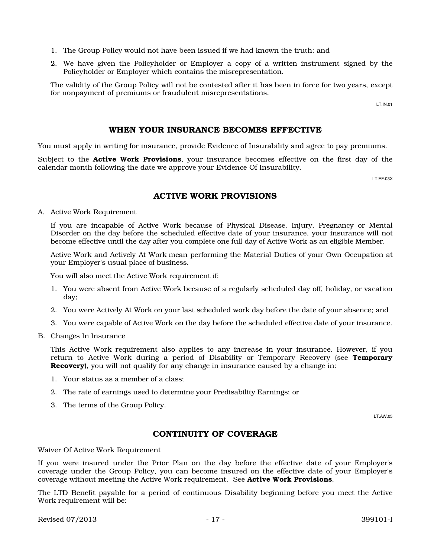- 1. The Group Policy would not have been issued if we had known the truth; and
- 2. We have given the Policyholder or Employer a copy of a written instrument signed by the Policyholder or Employer which contains the misrepresentation.

The validity of the Group Policy will not be contested after it has been in force for two years, except for nonpayment of premiums or fraudulent misrepresentations.

LT.IN.01

### WHEN YOUR INSURANCE BECOMES EFFECTIVE

You must apply in writing for insurance, provide Evidence of Insurability and agree to pay premiums.

Subject to the **Active Work Provisions**, your insurance becomes effective on the first day of the calendar month following the date we approve your Evidence Of Insurability.

LT.EF.03X

### ACTIVE WORK PROVISIONS

A. Active Work Requirement

If you are incapable of Active Work because of Physical Disease, Injury, Pregnancy or Mental Disorder on the day before the scheduled effective date of your insurance, your insurance will not become effective until the day after you complete one full day of Active Work as an eligible Member.

Active Work and Actively At Work mean performing the Material Duties of your Own Occupation at your Employer's usual place of business.

You will also meet the Active Work requirement if:

- 1. You were absent from Active Work because of a regularly scheduled day off, holiday, or vacation day;
- 2. You were Actively At Work on your last scheduled work day before the date of your absence; and
- 3. You were capable of Active Work on the day before the scheduled effective date of your insurance.
- B. Changes In Insurance

This Active Work requirement also applies to any increase in your insurance. However, if you return to Active Work during a period of Disability or Temporary Recovery (see **Temporary** Recovery), you will not qualify for any change in insurance caused by a change in:

- 1. Your status as a member of a class;
- 2. The rate of earnings used to determine your Predisability Earnings; or
- 3. The terms of the Group Policy.

LT.AW.05

## CONTINUITY OF COVERAGE

Waiver Of Active Work Requirement

If you were insured under the Prior Plan on the day before the effective date of your Employer's coverage under the Group Policy, you can become insured on the effective date of your Employer's coverage without meeting the Active Work requirement. See Active Work Provisions.

The LTD Benefit payable for a period of continuous Disability beginning before you meet the Active Work requirement will be:

Revised 07/2013 **- 17 - 399101-I**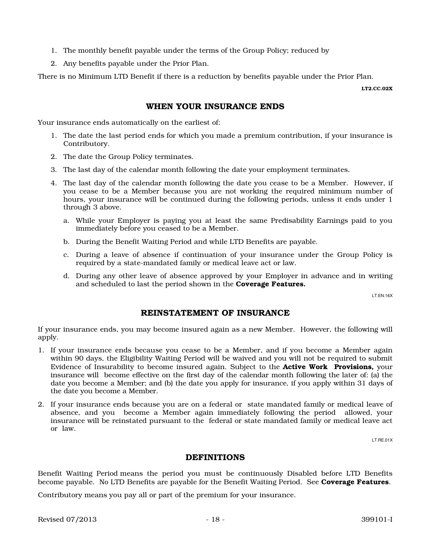- 1. The monthly benefit payable under the terms of the Group Policy; reduced by
- 2. Any benefits payable under the Prior Plan.

There is no Minimum LTD Benefit if there is a reduction by benefits payable under the Prior Plan.

LT2.CC.02X

## WHEN YOUR INSURANCE ENDS

Your insurance ends automatically on the earliest of:

- 1. The date the last period ends for which you made a premium contribution, if your insurance is Contributory.
- 2. The date the Group Policy terminates.
- 3. The last day of the calendar month following the date your employment terminates.
- 4. The last day of the calendar month following the date you cease to be a Member. However, if you cease to be a Member because you are not working the required minimum number of hours, your insurance will be continued during the following periods, unless it ends under 1 through 3 above.
	- a. While your Employer is paying you at least the same Predisability Earnings paid to you immediately before you ceased to be a Member.
	- b. During the Benefit Waiting Period and while LTD Benefits are payable.
	- c. During a leave of absence if continuation of your insurance under the Group Policy is required by a state-mandated family or medical leave act or law.
	- d. During any other leave of absence approved by your Employer in advance and in writing and scheduled to last the period shown in the Coverage Features.

LT.EN.16X

### REINSTATEMENT OF INSURANCE

If your insurance ends, you may become insured again as a new Member. However, the following will apply.

- 1. If your insurance ends because you cease to be a Member, and if you become a Member again within 90 days, the Eligibility Waiting Period will be waived and you will not be required to submit Evidence of Insurability to become insured again. Subject to the Active Work Provisions, your insurance will become effective on the first day of the calendar month following the later of: (a) the date you become a Member; and (b) the date you apply for insurance, if you apply within 31 days of the date you become a Member.
- 2. If your insurance ends because you are on a federal or state mandated family or medical leave of absence, and you become a Member again immediately following the period allowed, your insurance will be reinstated pursuant to the federal or state mandated family or medical leave act or law.

LT.RE.01X

### DEFINITIONS

Benefit Waiting Period means the period you must be continuously Disabled before LTD Benefits become payable. No LTD Benefits are payable for the Benefit Waiting Period. See **Coverage Features**.

Contributory means you pay all or part of the premium for your insurance.